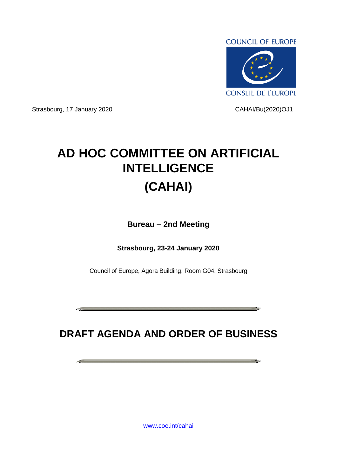

Strasbourg, 17 January 2020 CAHAI/Bu(2020)OJ1

**Contract Contract Contract** 

**Contract Contract** 

وماست المستحدث

## **AD HOC COMMITTEE ON ARTIFICIAL INTELLIGENCE (CAHAI)**

**Bureau – 2nd Meeting**

**Strasbourg, 23-24 January 2020**

Council of Europe, Agora Building, Room G04, Strasbourg

## **DRAFT AGENDA AND ORDER OF BUSINESS**

[www.coe.int/cahai](http://www.coe.int/cahai)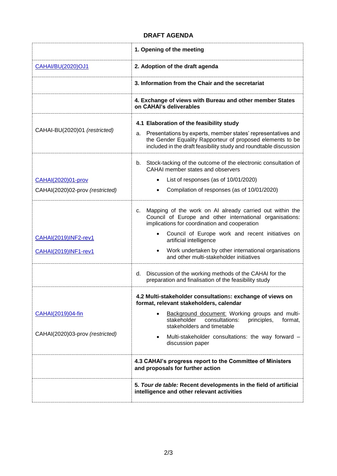## **DRAFT AGENDA**

|                                                              | 1. Opening of the meeting                                                                                                                                                                                                                                                                                                                                               |  |
|--------------------------------------------------------------|-------------------------------------------------------------------------------------------------------------------------------------------------------------------------------------------------------------------------------------------------------------------------------------------------------------------------------------------------------------------------|--|
| <b>CAHAI/BU(2020)OJ1</b>                                     | 2. Adoption of the draft agenda                                                                                                                                                                                                                                                                                                                                         |  |
|                                                              | 3. Information from the Chair and the secretariat                                                                                                                                                                                                                                                                                                                       |  |
|                                                              | 4. Exchange of views with Bureau and other member States<br>on CAHAI's deliverables                                                                                                                                                                                                                                                                                     |  |
| CAHAI-BU(2020)01 (restricted)                                | 4.1 Elaboration of the feasibility study<br>Presentations by experts, member states' representatives and<br>а.<br>the Gender Equality Rapporteur of proposed elements to be<br>included in the draft feasibility study and roundtable discussion                                                                                                                        |  |
| <b>CAHAI(2020)01-prov</b><br>CAHAI(2020)02-prov (restricted) | Stock-tacking of the outcome of the electronic consultation of<br>b.<br>CAHAI member states and observers<br>List of responses (as of 10/01/2020)<br>Compilation of responses (as of 10/01/2020)                                                                                                                                                                        |  |
| CAHAI(2019)INF2-rev1<br><b>CAHAI(2019)INF1-rev1</b>          | c. Mapping of the work on AI already carried out within the<br>Council of Europe and other international organisations:<br>implications for coordination and cooperation<br>Council of Europe work and recent initiatives on<br>artificial intelligence<br>Work undertaken by other international organisations<br>$\bullet$<br>and other multi-stakeholder initiatives |  |
|                                                              | Discussion of the working methods of the CAHAI for the<br>d.<br>preparation and finalisation of the feasibility study                                                                                                                                                                                                                                                   |  |
| CAHAI(2019)04-fin<br>CAHAI(2020)03-prov (restricted)         | 4.2 Multi-stakeholder consultations: exchange of views on<br>format, relevant stakeholders, calendar<br>Background document: Working groups and multi-<br>stakeholder<br>consultations:<br>principles,<br>format,<br>stakeholders and timetable<br>Multi-stakeholder consultations: the way forward -<br>$\bullet$<br>discussion paper                                  |  |
|                                                              | 4.3 CAHAI's progress report to the Committee of Ministers<br>and proposals for further action                                                                                                                                                                                                                                                                           |  |
|                                                              | 5. Tour de table: Recent developments in the field of artificial<br>intelligence and other relevant activities                                                                                                                                                                                                                                                          |  |